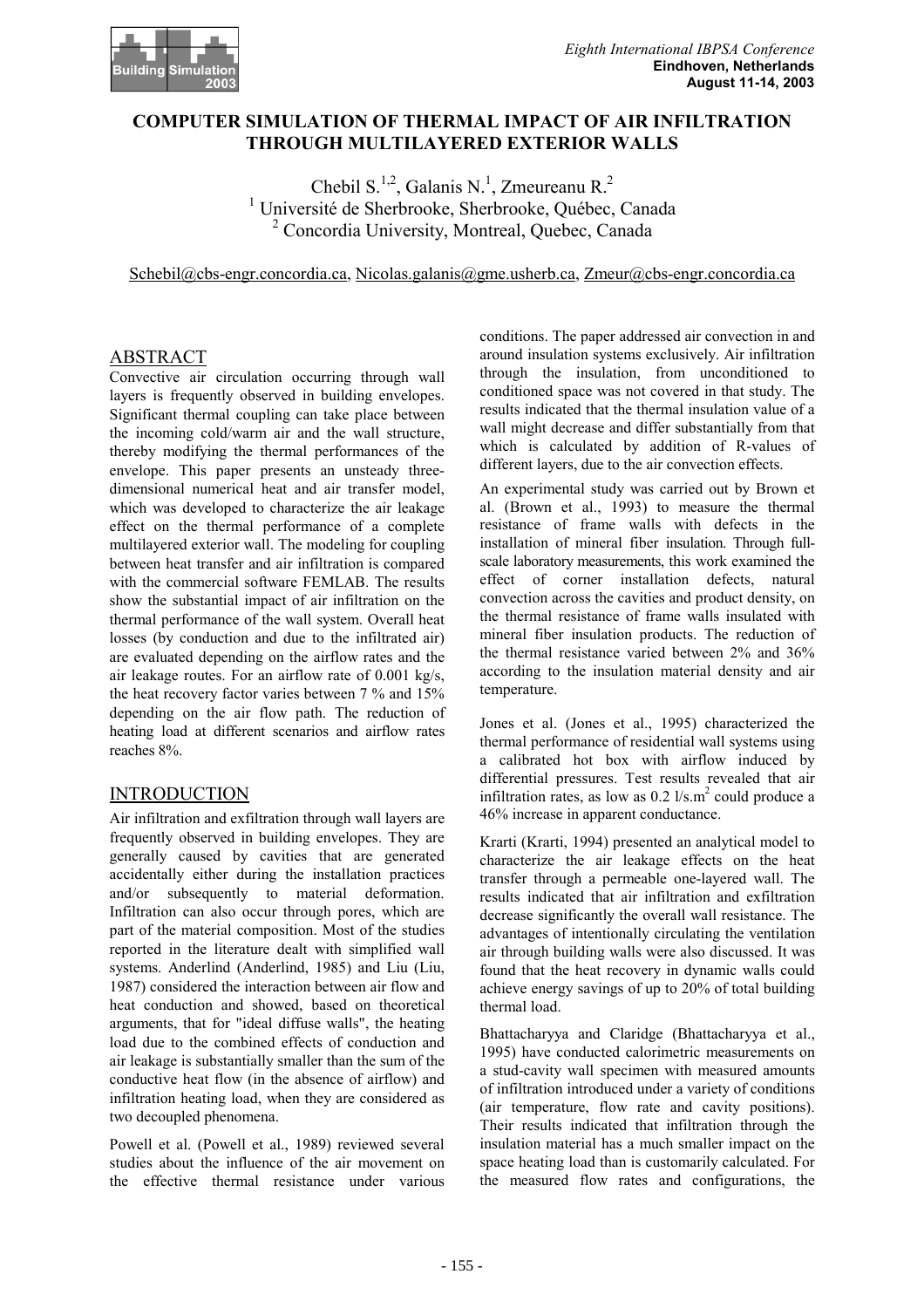

# **COMPUTER SIMULATION OF THERMAL IMPACT OF AIR INFILTRATION THROUGH MULTILAYERED EXTERIOR WALLS**

Chebil S.<sup>1,2</sup>, Galanis N.<sup>1</sup>, Zmeureanu R.<sup>2</sup> <sup>1</sup> Université de Sherbrooke, Sherbrooke, Québec, Canada <sup>2</sup> Concordia University, Montreal, Quebec, Canada

Schebil@cbs-engr.concordia.ca, Nicolas.galanis@gme.usherb.ca, Zmeur@cbs-engr.concordia.ca

# ABSTRACT

Convective air circulation occurring through wall layers is frequently observed in building envelopes. Significant thermal coupling can take place between the incoming cold/warm air and the wall structure, thereby modifying the thermal performances of the envelope. This paper presents an unsteady threedimensional numerical heat and air transfer model, which was developed to characterize the air leakage effect on the thermal performance of a complete multilayered exterior wall. The modeling for coupling between heat transfer and air infiltration is compared with the commercial software FEMLAB. The results show the substantial impact of air infiltration on the thermal performance of the wall system. Overall heat losses (by conduction and due to the infiltrated air) are evaluated depending on the airflow rates and the air leakage routes. For an airflow rate of 0.001 kg/s, the heat recovery factor varies between 7 % and 15% depending on the air flow path. The reduction of heating load at different scenarios and airflow rates reaches 8%.

# INTRODUCTION

Air infiltration and exfiltration through wall layers are frequently observed in building envelopes. They are generally caused by cavities that are generated accidentally either during the installation practices and/or subsequently to material deformation. Infiltration can also occur through pores, which are part of the material composition. Most of the studies reported in the literature dealt with simplified wall systems. Anderlind (Anderlind, 1985) and Liu (Liu, 1987) considered the interaction between air flow and heat conduction and showed, based on theoretical arguments, that for "ideal diffuse walls", the heating load due to the combined effects of conduction and air leakage is substantially smaller than the sum of the conductive heat flow (in the absence of airflow) and infiltration heating load, when they are considered as two decoupled phenomena.

Powell et al. (Powell et al., 1989) reviewed several studies about the influence of the air movement on the effective thermal resistance under various conditions. The paper addressed air convection in and around insulation systems exclusively. Air infiltration through the insulation, from unconditioned to conditioned space was not covered in that study. The results indicated that the thermal insulation value of a wall might decrease and differ substantially from that which is calculated by addition of R-values of different layers, due to the air convection effects.

An experimental study was carried out by Brown et al. (Brown et al., 1993) to measure the thermal resistance of frame walls with defects in the installation of mineral fiber insulation. Through fullscale laboratory measurements, this work examined the effect of corner installation defects, natural convection across the cavities and product density, on the thermal resistance of frame walls insulated with mineral fiber insulation products. The reduction of the thermal resistance varied between 2% and 36% according to the insulation material density and air temperature.

Jones et al. (Jones et al., 1995) characterized the thermal performance of residential wall systems using a calibrated hot box with airflow induced by differential pressures. Test results revealed that air infiltration rates, as low as  $0.2 \frac{1}{s}$ .m<sup>2</sup> could produce a 46% increase in apparent conductance.

Krarti (Krarti, 1994) presented an analytical model to characterize the air leakage effects on the heat transfer through a permeable one-layered wall. The results indicated that air infiltration and exfiltration decrease significantly the overall wall resistance. The advantages of intentionally circulating the ventilation air through building walls were also discussed. It was found that the heat recovery in dynamic walls could achieve energy savings of up to 20% of total building thermal load.

Bhattacharyya and Claridge (Bhattacharyya et al., 1995) have conducted calorimetric measurements on a stud-cavity wall specimen with measured amounts of infiltration introduced under a variety of conditions (air temperature, flow rate and cavity positions). Their results indicated that infiltration through the insulation material has a much smaller impact on the space heating load than is customarily calculated. For the measured flow rates and configurations, the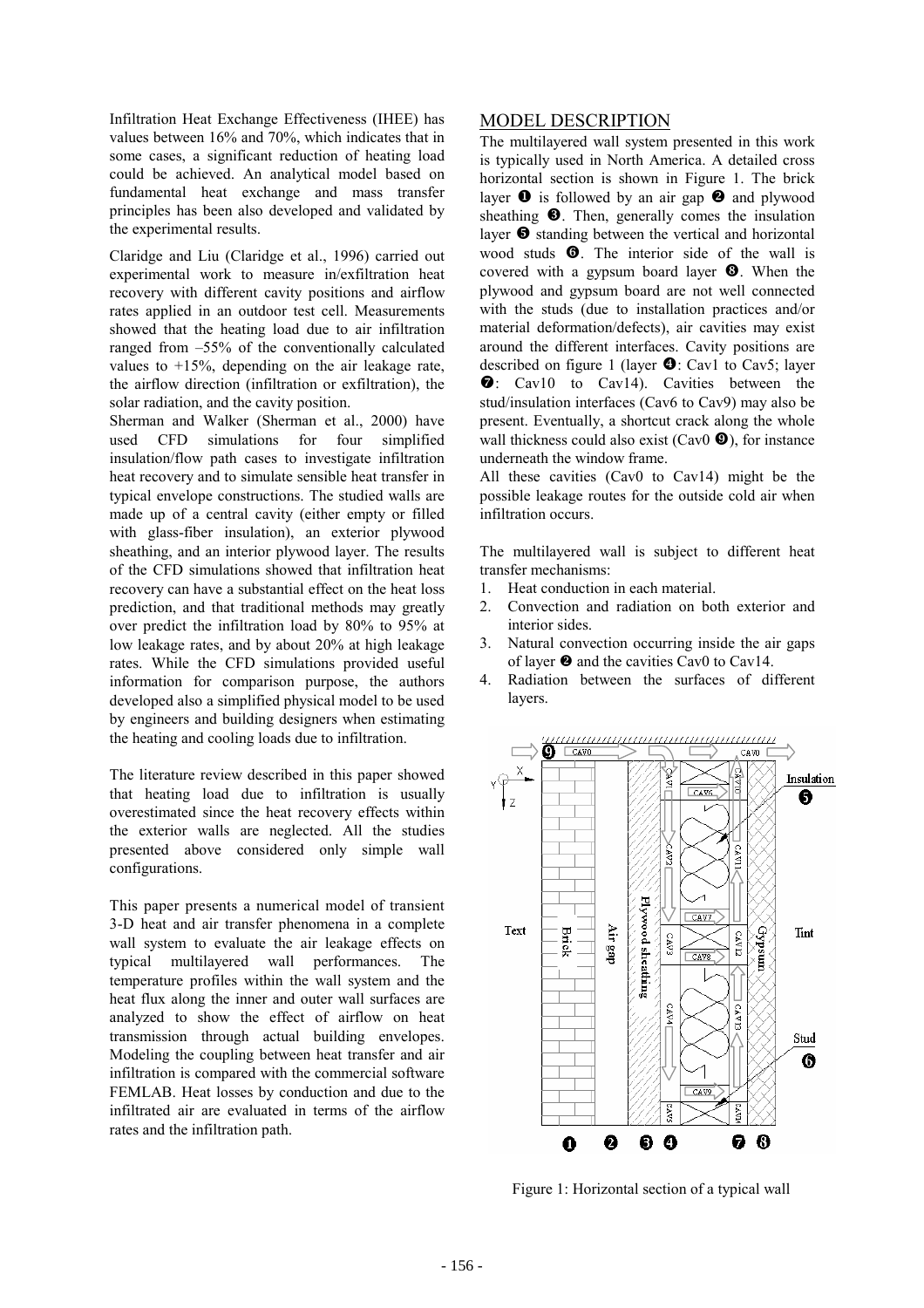Infiltration Heat Exchange Effectiveness (IHEE) has values between 16% and 70%, which indicates that in some cases, a significant reduction of heating load could be achieved. An analytical model based on fundamental heat exchange and mass transfer principles has been also developed and validated by the experimental results.

Claridge and Liu (Claridge et al., 1996) carried out experimental work to measure in/exfiltration heat recovery with different cavity positions and airflow rates applied in an outdoor test cell. Measurements showed that the heating load due to air infiltration ranged from –55% of the conventionally calculated values to +15%, depending on the air leakage rate, the airflow direction (infiltration or exfiltration), the solar radiation, and the cavity position.

Sherman and Walker (Sherman et al., 2000) have used CFD simulations for four simplified insulation/flow path cases to investigate infiltration heat recovery and to simulate sensible heat transfer in typical envelope constructions. The studied walls are made up of a central cavity (either empty or filled with glass-fiber insulation), an exterior plywood sheathing, and an interior plywood layer. The results of the CFD simulations showed that infiltration heat recovery can have a substantial effect on the heat loss prediction, and that traditional methods may greatly over predict the infiltration load by 80% to 95% at low leakage rates, and by about 20% at high leakage rates. While the CFD simulations provided useful information for comparison purpose, the authors developed also a simplified physical model to be used by engineers and building designers when estimating the heating and cooling loads due to infiltration.

The literature review described in this paper showed that heating load due to infiltration is usually overestimated since the heat recovery effects within the exterior walls are neglected. All the studies presented above considered only simple wall configurations.

This paper presents a numerical model of transient 3-D heat and air transfer phenomena in a complete wall system to evaluate the air leakage effects on typical multilayered wall performances. The temperature profiles within the wall system and the heat flux along the inner and outer wall surfaces are analyzed to show the effect of airflow on heat transmission through actual building envelopes. Modeling the coupling between heat transfer and air infiltration is compared with the commercial software FEMLAB. Heat losses by conduction and due to the infiltrated air are evaluated in terms of the airflow rates and the infiltration path.

### MODEL DESCRIPTION

The multilayered wall system presented in this work is typically used in North America. A detailed cross horizontal section is shown in Figure 1. The brick layer  $\bullet$  is followed by an air gap  $\bullet$  and plywood sheathing  $\bullet$ . Then, generally comes the insulation layer  $\Theta$  standing between the vertical and horizontal wood studs  $\bullet$ . The interior side of the wall is covered with a gypsum board layer  $\Theta$ . When the plywood and gypsum board are not well connected with the studs (due to installation practices and/or material deformation/defects), air cavities may exist around the different interfaces. Cavity positions are described on figure 1 (layer  $\bullet$ : Cav1 to Cav5; layer  $\bullet$ : Cav10 to Cav14). Cavities between the stud/insulation interfaces (Cav6 to Cav9) may also be present. Eventually, a shortcut crack along the whole wall thickness could also exist (Cav0  $\bullet$ ), for instance underneath the window frame.

All these cavities (Cav0 to Cav14) might be the possible leakage routes for the outside cold air when infiltration occurs.

The multilayered wall is subject to different heat transfer mechanisms:

- 1. Heat conduction in each material.
- 2. Convection and radiation on both exterior and interior sides.
- 3. Natural convection occurring inside the air gaps of layer  $\bullet$  and the cavities Cav0 to Cav14.
- 4. Radiation between the surfaces of different layers.



Figure 1: Horizontal section of a typical wall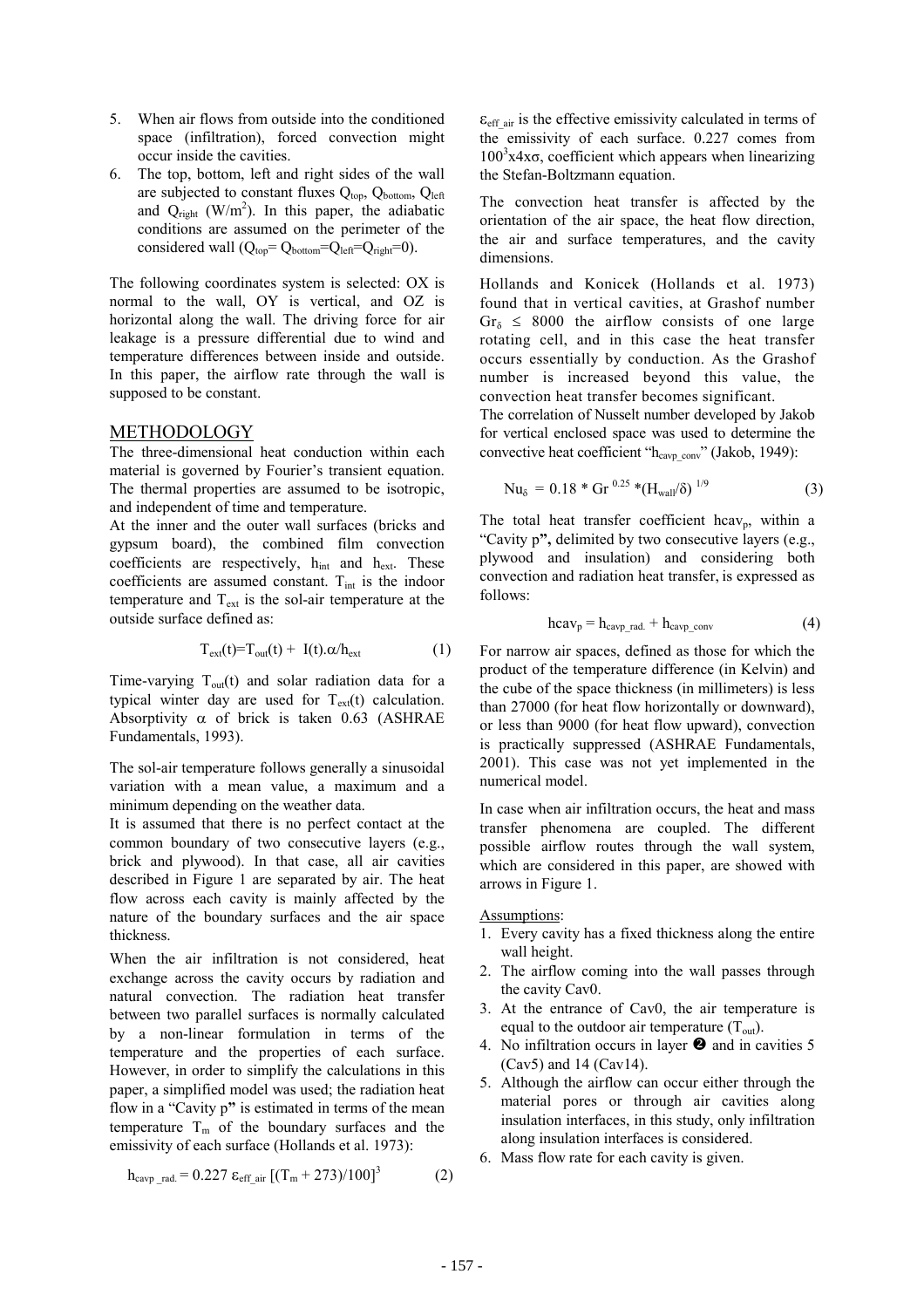- 5. When air flows from outside into the conditioned space (infiltration), forced convection might occur inside the cavities.
- 6. The top, bottom, left and right sides of the wall are subjected to constant fluxes  $Q_{top}$ ,  $Q_{bottom}$ ,  $Q_{left}$ and  $Q_{right}$  (W/m<sup>2</sup>). In this paper, the adiabatic conditions are assumed on the perimeter of the considered wall  $(Q_{\text{top}} = Q_{\text{bottom}} = Q_{\text{left}} = Q_{\text{right}} = 0)$ .

The following coordinates system is selected: OX is normal to the wall, OY is vertical, and OZ is horizontal along the wall. The driving force for air leakage is a pressure differential due to wind and temperature differences between inside and outside. In this paper, the airflow rate through the wall is supposed to be constant.

### METHODOLOGY

The three-dimensional heat conduction within each material is governed by Fourier's transient equation. The thermal properties are assumed to be isotropic, and independent of time and temperature.

At the inner and the outer wall surfaces (bricks and gypsum board), the combined film convection coefficients are respectively,  $h_{int}$  and  $h_{ext}$ . These coefficients are assumed constant.  $T_{int}$  is the indoor temperature and  $T_{ext}$  is the sol-air temperature at the outside surface defined as:

$$
T_{ext}(t) = T_{out}(t) + I(t) \cdot \alpha / h_{ext}
$$
 (1)

Time-varying  $T_{out}(t)$  and solar radiation data for a typical winter day are used for  $T_{ext}(t)$  calculation. Absorptivity  $\alpha$  of brick is taken 0.63 (ASHRAE Fundamentals, 1993).

The sol-air temperature follows generally a sinusoidal variation with a mean value, a maximum and a minimum depending on the weather data.

It is assumed that there is no perfect contact at the common boundary of two consecutive layers (e.g., brick and plywood). In that case, all air cavities described in Figure 1 are separated by air. The heat flow across each cavity is mainly affected by the nature of the boundary surfaces and the air space thickness.

When the air infiltration is not considered, heat exchange across the cavity occurs by radiation and natural convection. The radiation heat transfer between two parallel surfaces is normally calculated by a non-linear formulation in terms of the temperature and the properties of each surface. However, in order to simplify the calculations in this paper, a simplified model was used; the radiation heat flow in a "Cavity p**"** is estimated in terms of the mean temperature  $T_m$  of the boundary surfaces and the emissivity of each surface (Hollands et al. 1973):

$$
h_{\text{cavp rad.}} = 0.227 \ \varepsilon_{\text{eff air}} \left[ (T_m + 273)/100 \right]^3 \tag{2}
$$

 $\varepsilon_{\text{eff}}$  air is the effective emissivity calculated in terms of the emissivity of each surface. 0.227 comes from  $100<sup>3</sup>x4x\sigma$ , coefficient which appears when linearizing the Stefan-Boltzmann equation.

The convection heat transfer is affected by the orientation of the air space, the heat flow direction, the air and surface temperatures, and the cavity dimensions.

Hollands and Konicek (Hollands et al. 1973) found that in vertical cavities, at Grashof number  $Gr<sub>δ</sub> \leq 8000$  the airflow consists of one large rotating cell, and in this case the heat transfer occurs essentially by conduction. As the Grashof number is increased beyond this value, the convection heat transfer becomes significant.

The correlation of Nusselt number developed by Jakob for vertical enclosed space was used to determine the convective heat coefficient " $h_{\text{cavp\_conv}}$ " (Jakob, 1949):

$$
Nu_{\delta} = 0.18 * Gr^{0.25} * (Hwall/\delta)^{1/9}
$$
 (3)

The total heat transfer coefficient hcav<sub>p</sub>, within a "Cavity p**",** delimited by two consecutive layers (e.g., plywood and insulation) and considering both convection and radiation heat transfer, is expressed as follows:

$$
h\text{cav}_p = h_{\text{cavp rad.}} + h_{\text{cavp conv}} \tag{4}
$$

For narrow air spaces, defined as those for which the product of the temperature difference (in Kelvin) and the cube of the space thickness (in millimeters) is less than 27000 (for heat flow horizontally or downward), or less than 9000 (for heat flow upward), convection is practically suppressed (ASHRAE Fundamentals, 2001). This case was not yet implemented in the numerical model.

In case when air infiltration occurs, the heat and mass transfer phenomena are coupled. The different possible airflow routes through the wall system, which are considered in this paper, are showed with arrows in Figure 1.

#### Assumptions:

- 1. Every cavity has a fixed thickness along the entire wall height.
- 2. The airflow coming into the wall passes through the cavity Cav0.
- 3. At the entrance of Cav0, the air temperature is equal to the outdoor air temperature  $(T<sub>out</sub>)$ .
- 4. No infiltration occurs in layer  $\bullet$  and in cavities 5 (Cav5) and 14 (Cav14).
- 5. Although the airflow can occur either through the material pores or through air cavities along insulation interfaces, in this study, only infiltration along insulation interfaces is considered.
- 6. Mass flow rate for each cavity is given.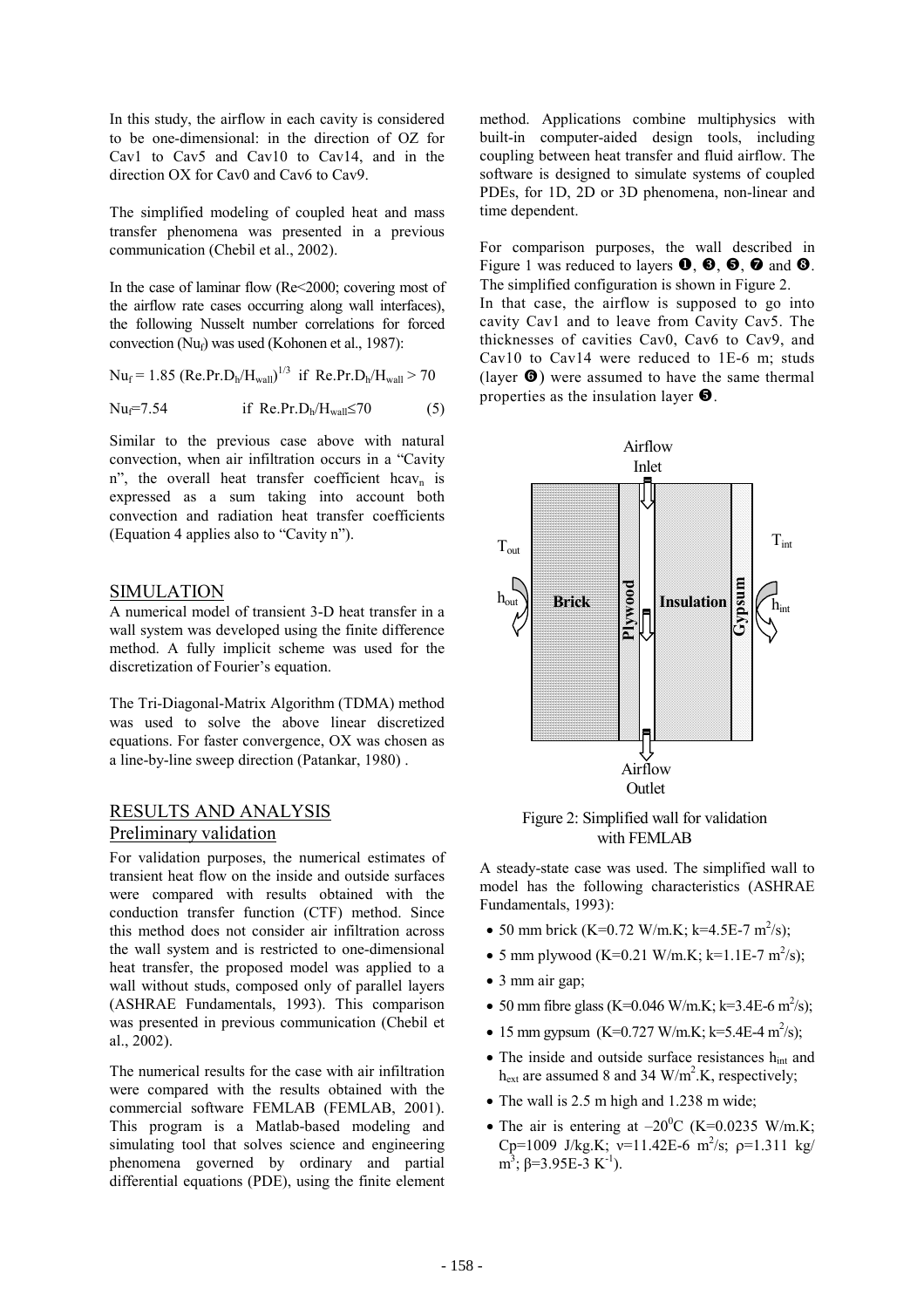In this study, the airflow in each cavity is considered to be one-dimensional: in the direction of OZ for Cav1 to Cav5 and Cav10 to Cav14, and in the direction OX for Cav0 and Cav6 to Cav9.

The simplified modeling of coupled heat and mass transfer phenomena was presented in a previous communication (Chebil et al., 2002).

In the case of laminar flow (Re<2000; covering most of the airflow rate cases occurring along wall interfaces), the following Nusselt number correlations for forced convection ( $Nu<sub>f</sub>$ ) was used (Kohonen et al., 1987):

$$
Nu_f = 1.85
$$
 (Re.Pr.D<sub>h</sub>/ $H_{wall}$ )<sup>1/3</sup> if Re.Pr.D<sub>h</sub>/ $H_{wall}$  > 70

Nu<sub>f</sub>=7.54 if Re.Pr.D<sub>h</sub>/H<sub>wall</sub>≤70 (5)

Similar to the previous case above with natural convection, when air infiltration occurs in a "Cavity n", the overall heat transfer coefficient hcav<sub>n</sub> is expressed as a sum taking into account both convection and radiation heat transfer coefficients (Equation 4 applies also to "Cavity n").

### SIMULATION

A numerical model of transient 3-D heat transfer in a wall system was developed using the finite difference method. A fully implicit scheme was used for the discretization of Fourier's equation.

The Tri-Diagonal-Matrix Algorithm (TDMA) method was used to solve the above linear discretized equations. For faster convergence, OX was chosen as a line-by-line sweep direction (Patankar, 1980) .

# RESULTS AND ANALYSIS Preliminary validation

For validation purposes, the numerical estimates of transient heat flow on the inside and outside surfaces were compared with results obtained with the conduction transfer function (CTF) method. Since this method does not consider air infiltration across the wall system and is restricted to one-dimensional heat transfer, the proposed model was applied to a wall without studs, composed only of parallel layers (ASHRAE Fundamentals, 1993). This comparison was presented in previous communication (Chebil et al., 2002).

The numerical results for the case with air infiltration were compared with the results obtained with the commercial software FEMLAB (FEMLAB, 2001). This program is a Matlab-based modeling and simulating tool that solves science and engineering phenomena governed by ordinary and partial differential equations (PDE), using the finite element

method. Applications combine multiphysics with built-in computer-aided design tools, including coupling between heat transfer and fluid airflow. The software is designed to simulate systems of coupled PDEs, for 1D, 2D or 3D phenomena, non-linear and time dependent.

For comparison purposes, the wall described in Figure 1 was reduced to layers  $\mathbf{0}, \mathbf{\Theta}, \mathbf{\Theta}, \mathbf{\Theta}$  and  $\mathbf{\Theta}$ . The simplified configuration is shown in Figure 2. In that case, the airflow is supposed to go into

cavity Cav1 and to leave from Cavity Cav5. The thicknesses of cavities Cav0, Cav6 to Cav9, and Cav10 to Cav14 were reduced to 1E-6 m; studs (layer  $\Theta$ ) were assumed to have the same thermal properties as the insulation layer  $\bullet$ .



Figure 2: Simplified wall for validation with FEMLAB

A steady-state case was used. The simplified wall to model has the following characteristics (ASHRAE Fundamentals, 1993):

- 50 mm brick (K=0.72 W/m.K; k=4.5E-7 m<sup>2</sup>/s);
- 5 mm plywood (K=0.21 W/m.K; k=1.1E-7 m<sup>2</sup>/s);
- 3 mm air gap;
- 50 mm fibre glass (K=0.046 W/m.K; k=3.4E-6 m<sup>2</sup>/s);
- 15 mm gypsum  $(K=0.727 \text{ W/m.K}; k=5.4E-4 \text{ m}^2/\text{s});$
- The inside and outside surface resistances  $h_{int}$  and  $h_{ext}$  are assumed 8 and 34 W/m<sup>2</sup>.K, respectively;
- The wall is 2.5 m high and 1.238 m wide:
- The air is entering at  $-20^{\circ}$ C (K=0.0235 W/m.K; Cp=1009 J/kg.K; v=11.42E-6 m<sup>2</sup>/s; p=1.311 kg/ m<sup>3</sup>; β=3.95E-3 K<sup>-1</sup>).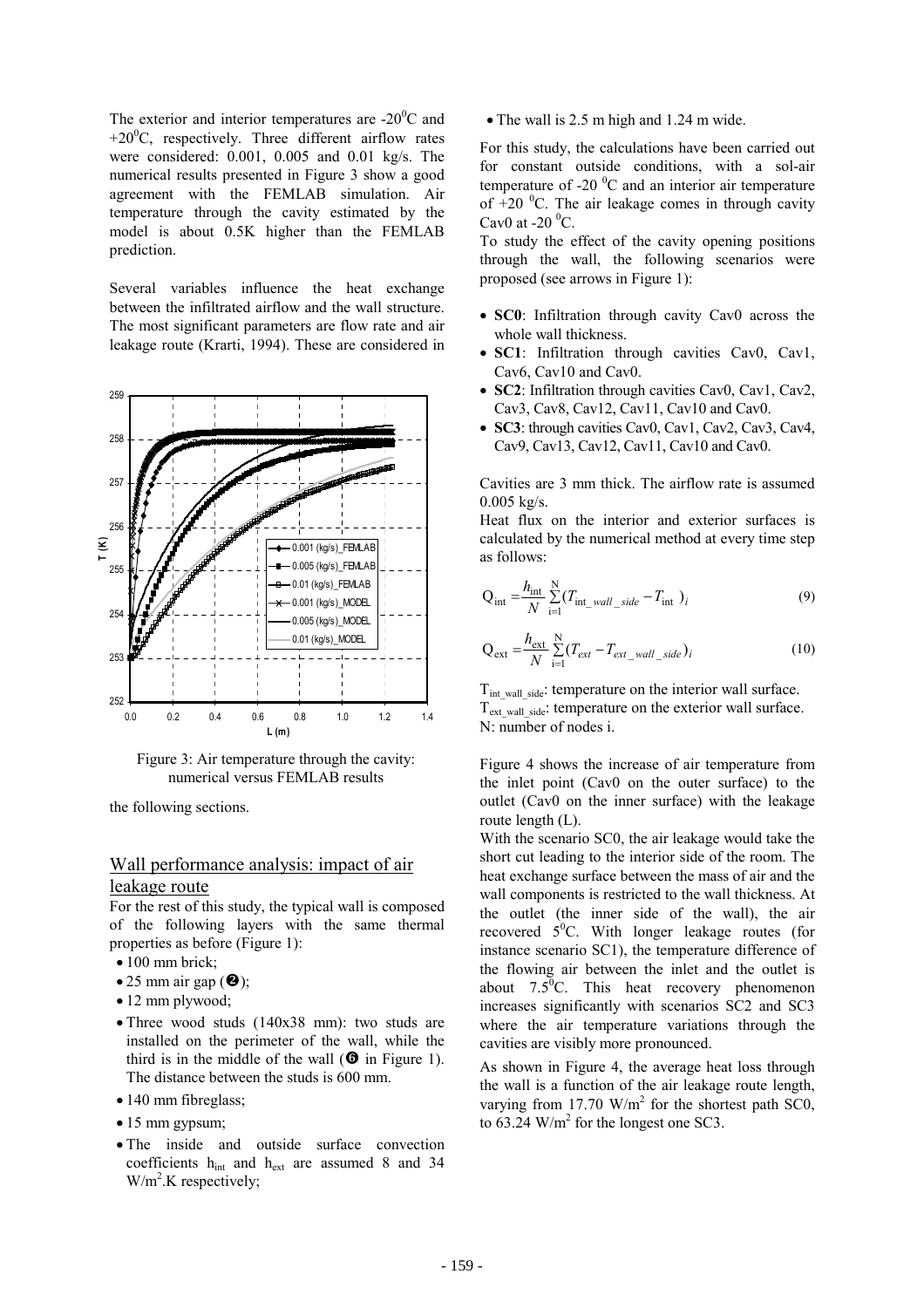The exterior and interior temperatures are -20 $\mathrm{^0C}$  and  $+20$ <sup>o</sup>C, respectively. Three different airflow rates were considered: 0.001, 0.005 and 0.01 kg/s. The numerical results presented in Figure 3 show a good agreement with the FEMLAB simulation. Air temperature through the cavity estimated by the model is about 0.5K higher than the FEMLAB prediction.

Several variables influence the heat exchange between the infiltrated airflow and the wall structure. The most significant parameters are flow rate and air leakage route (Krarti, 1994). These are considered in



Figure 3: Air temperature through the cavity: numerical versus FEMLAB results

the following sections.

# Wall performance analysis: impact of air leakage route

For the rest of this study, the typical wall is composed of the following layers with the same thermal properties as before (Figure 1):

- 100 mm brick:
- 25 mm air gap  $(\mathbf{\Theta})$ ;
- 12 mm plywood;
- Three wood studs (140x38 mm): two studs are installed on the perimeter of the wall, while the third is in the middle of the wall  $(\mathbf{\Theta})$  in Figure 1). The distance between the studs is 600 mm.
- 140 mm fibreglass;
- 15 mm gypsum;
- The inside and outside surface convection coefficients hint and hext are assumed 8 and 34  $W/m<sup>2</sup>$ .K respectively;

• The wall is 2.5 m high and 1.24 m wide.

For this study, the calculations have been carried out for constant outside conditions, with a sol-air temperature of -20 $\mathrm{^{0}C}$  and an interior air temperature of  $+20$  °C. The air leakage comes in through cavity Cav0 at -20 $\mathrm{^0C}$ .

To study the effect of the cavity opening positions through the wall, the following scenarios were proposed (see arrows in Figure 1):

- **SC0**: Infiltration through cavity Cav0 across the whole wall thickness.
- **SC1**: Infiltration through cavities Cav0, Cav1, Cav6, Cav10 and Cav0.
- **SC2**: Infiltration through cavities Cav0, Cav1, Cav2, Cav3, Cav8, Cav12, Cav11, Cav10 and Cav0.
- **SC3**: through cavities Cav0, Cav1, Cav2, Cav3, Cav4, Cav9, Cav13, Cav12, Cav11, Cav10 and Cav0.

Cavities are 3 mm thick. The airflow rate is assumed  $0.005 \text{ kg/s}.$ 

Heat flux on the interior and exterior surfaces is calculated by the numerical method at every time step as follows:

$$
Q_{int} = \frac{h_{int}}{N} \sum_{i=1}^{N} (T_{int\_wall\_side} - T_{int})_i
$$
 (9)

$$
Q_{ext} = \frac{h_{ext}}{N} \sum_{i=1}^{N} (T_{ext} - T_{ext\_wall\_side})_i
$$
 (10)

T<sub>int wall side</sub>: temperature on the interior wall surface.  $T_{ext\{wall\ side\}}$ : temperature on the exterior wall surface. N: number of nodes i.

Figure 4 shows the increase of air temperature from the inlet point (Cav0 on the outer surface) to the outlet (Cav0 on the inner surface) with the leakage route length (L).

With the scenario SC0, the air leakage would take the short cut leading to the interior side of the room. The heat exchange surface between the mass of air and the wall components is restricted to the wall thickness. At the outlet (the inner side of the wall), the air recovered  $5^0$ C. With longer leakage routes (for instance scenario SC1), the temperature difference of the flowing air between the inlet and the outlet is about  $7.5^{\overline{0}}C$ . This heat recovery phenomenon increases significantly with scenarios SC2 and SC3 where the air temperature variations through the cavities are visibly more pronounced.

As shown in Figure 4, the average heat loss through the wall is a function of the air leakage route length, varying from 17.70  $W/m^2$  for the shortest path SC0, to  $63.24$  W/m<sup>2</sup> for the longest one SC3.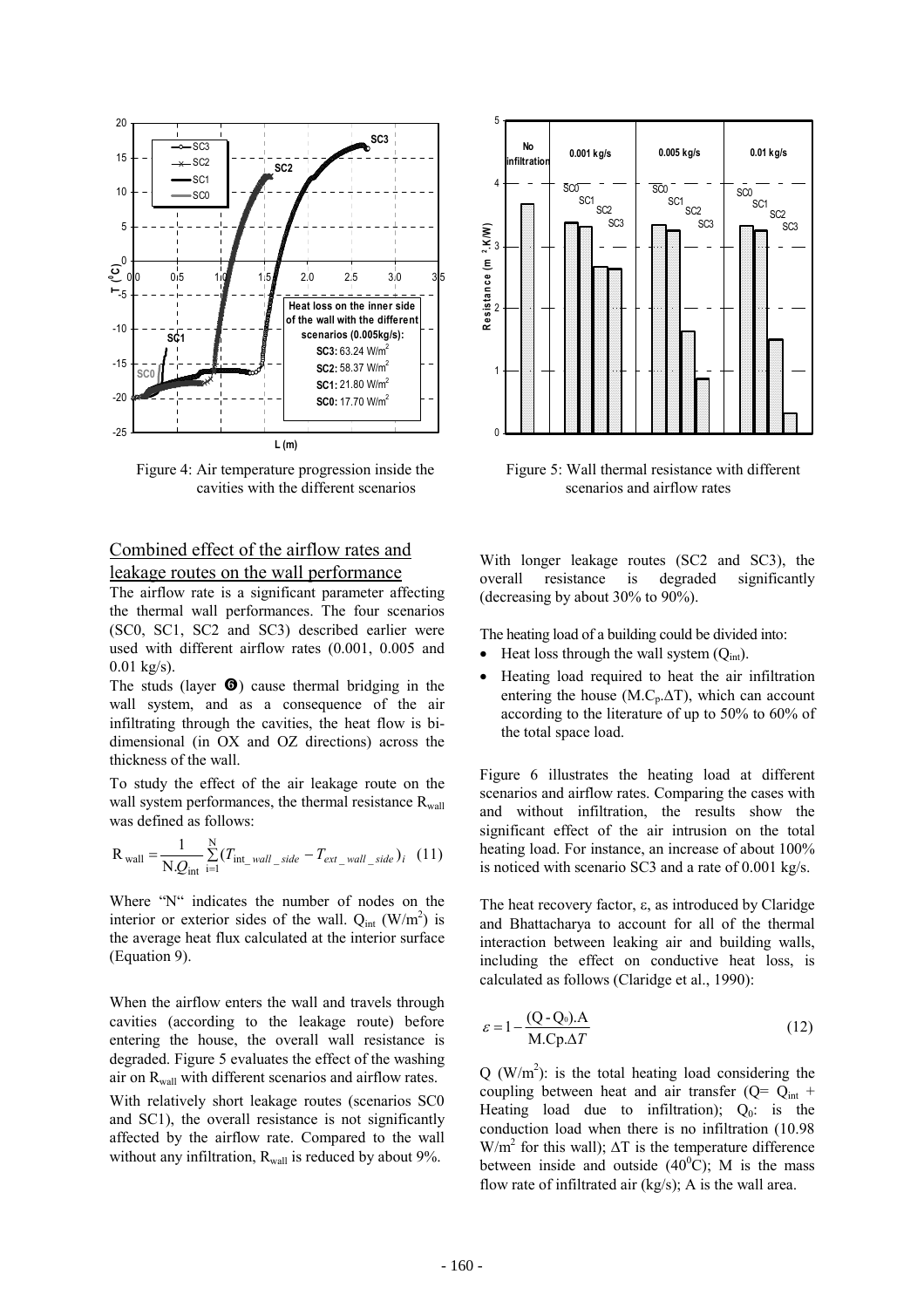

Figure 4: Air temperature progression inside the cavities with the different scenarios

# Combined effect of the airflow rates and leakage routes on the wall performance

The airflow rate is a significant parameter affecting the thermal wall performances. The four scenarios (SC0, SC1, SC2 and SC3) described earlier were used with different airflow rates (0.001, 0.005 and  $0.01 \text{ kg/s}$ ).

The studs (layer  $\bullet$ ) cause thermal bridging in the wall system, and as a consequence of the air infiltrating through the cavities, the heat flow is bidimensional (in OX and OZ directions) across the thickness of the wall.

To study the effect of the air leakage route on the wall system performances, the thermal resistance  $R_{wall}$ was defined as follows:

$$
R_{\text{wall}} = \frac{1}{N.Q_{\text{int}}} \sum_{i=1}^{N} (T_{\text{int\_wall\_side}} - T_{\text{ext\_wall\_side}})_i \quad (11)
$$

Where "N" indicates the number of nodes on the interior or exterior sides of the wall.  $Q_{int}$  (W/m<sup>2</sup>) is the average heat flux calculated at the interior surface (Equation 9).

When the airflow enters the wall and travels through cavities (according to the leakage route) before entering the house, the overall wall resistance is degraded. Figure 5 evaluates the effect of the washing air on  $R_{wall}$  with different scenarios and airflow rates. With relatively short leakage routes (scenarios SC0 and SC1), the overall resistance is not significantly affected by the airflow rate. Compared to the wall

without any infiltration,  $R_{wall}$  is reduced by about 9%.



Figure 5: Wall thermal resistance with different scenarios and airflow rates

With longer leakage routes (SC2 and SC3), the overall resistance is degraded significantly (decreasing by about 30% to 90%).

The heating load of a building could be divided into:

- Heat loss through the wall system  $(Q_{\text{int}})$ .
- Heating load required to heat the air infiltration entering the house (M.C<sub>p</sub>. $\Delta T$ ), which can account according to the literature of up to 50% to 60% of the total space load.

Figure 6 illustrates the heating load at different scenarios and airflow rates. Comparing the cases with and without infiltration, the results show the significant effect of the air intrusion on the total heating load. For instance, an increase of about 100% is noticed with scenario SC3 and a rate of 0.001 kg/s.

The heat recovery factor, ε, as introduced by Claridge and Bhattacharya to account for all of the thermal interaction between leaking air and building walls, including the effect on conductive heat loss, is calculated as follows (Claridge et al., 1990):

$$
\varepsilon = 1 - \frac{(Q - Q_0) \cdot A}{M \cdot C p \cdot \Delta T}
$$
 (12)

 $Q$  (W/m<sup>2</sup>): is the total heating load considering the coupling between heat and air transfer  $(Q= Q_{int} +$ Heating load due to infiltration);  $Q_0$ : is the conduction load when there is no infiltration (10.98 W/m<sup>2</sup> for this wall);  $\Delta T$  is the temperature difference between inside and outside  $(40^{\circ}C)$ ; M is the mass flow rate of infiltrated air (kg/s); A is the wall area.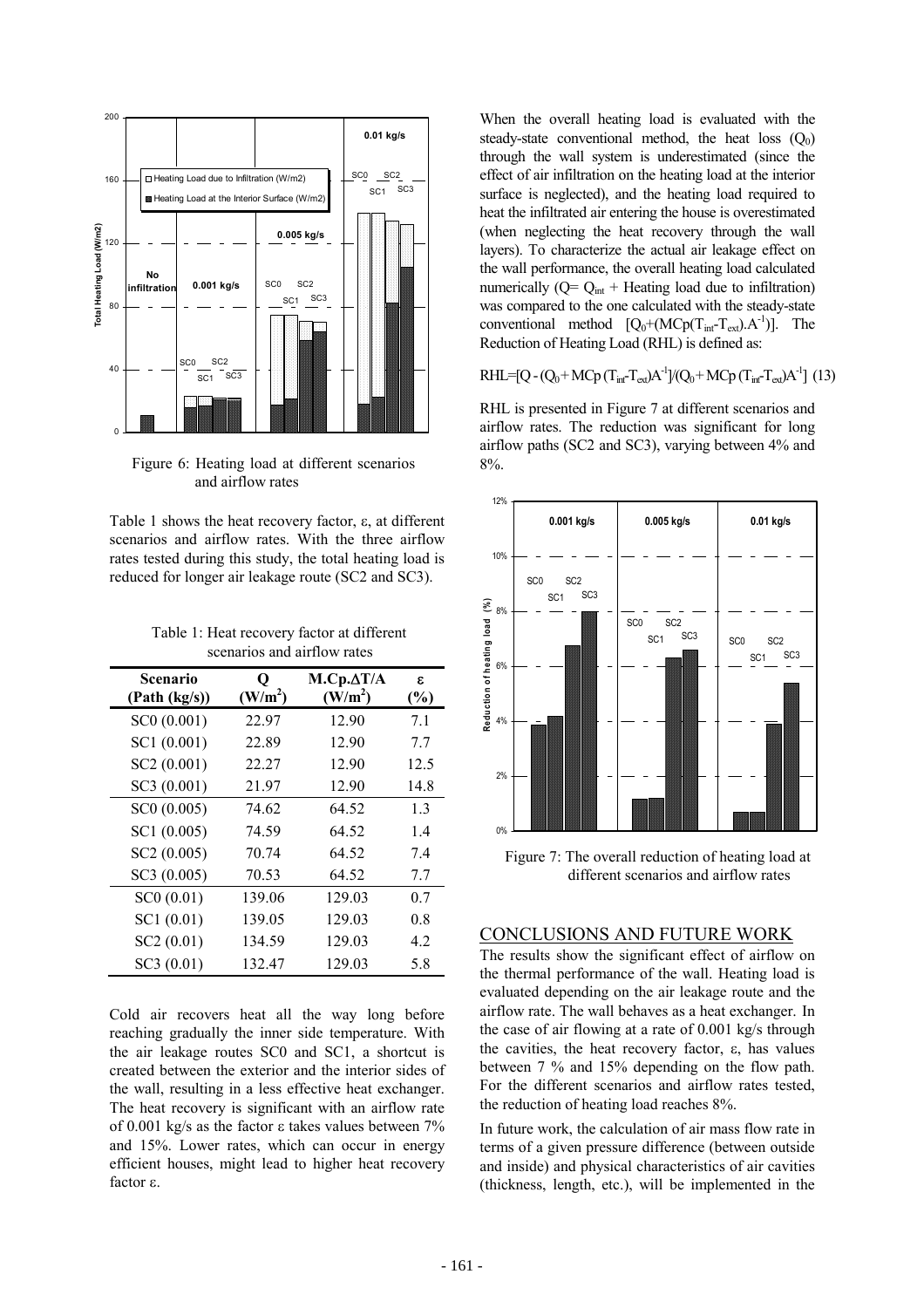

Figure 6: Heating load at different scenarios and airflow rates

Table 1 shows the heat recovery factor, ε, at different scenarios and airflow rates. With the three airflow rates tested during this study, the total heating load is reduced for longer air leakage route (SC2 and SC3).

Table 1: Heat recovery factor at different scenarios and airflow rates

| Scenario<br>(Path (kg/s)) | 0<br>(W/m <sup>2</sup> ) | $M.Cp.\Delta T/A$<br>(W/m <sup>2</sup> ) | £.<br>$(\%)$ |
|---------------------------|--------------------------|------------------------------------------|--------------|
| SC0 (0.001)               | 22.97                    | 12.90                                    | 7.1          |
| SC1 (0.001)               | 22.89                    | 12.90                                    | 7.7          |
| SC2 (0.001)               | 22.27                    | 12.90                                    | 12.5         |
| SC3 (0.001)               | 21.97                    | 12.90                                    | 14.8         |
| SC0 (0.005)               | 74.62                    | 64.52                                    | 1.3          |
| SC1(0.005)                | 74.59                    | 64.52                                    | 1.4          |
| SC2 (0.005)               | 70.74                    | 64.52                                    | 7.4          |
| SC3 (0.005)               | 70.53                    | 64.52                                    | 7.7          |
| SC0(0.01)                 | 139.06                   | 129.03                                   | 0.7          |
| SC1(0.01)                 | 139.05                   | 129.03                                   | 0.8          |
| SC2(0.01)                 | 134.59                   | 129.03                                   | 4.2          |
| SC3(0.01)                 | 132.47                   | 129.03                                   | 5.8          |

Cold air recovers heat all the way long before reaching gradually the inner side temperature. With the air leakage routes SC0 and SC1, a shortcut is created between the exterior and the interior sides of the wall, resulting in a less effective heat exchanger. The heat recovery is significant with an airflow rate of 0.001 kg/s as the factor ε takes values between 7% and 15%. Lower rates, which can occur in energy efficient houses, might lead to higher heat recovery factor ε.

When the overall heating load is evaluated with the steady-state conventional method, the heat loss  $(Q_0)$ through the wall system is underestimated (since the effect of air infiltration on the heating load at the interior surface is neglected), and the heating load required to heat the infiltrated air entering the house is overestimated (when neglecting the heat recovery through the wall layers). To characterize the actual air leakage effect on the wall performance, the overall heating load calculated numerically  $(Q = Q<sub>int</sub> + Heating load due to inflation)$ was compared to the one calculated with the steady-state conventional method  $[Q_0+(M\text{Cp}(T_{int}-T_{ext}).A^{-1})]$ . The Reduction of Heating Load (RHL) is defined as:

$$
RHL\!\!=\!\![Q\!\!-\!\!(Q_0\!\!+\!M\!Cp\,(T_{\text{int}}\!\!-\!\!T_{\text{ext}})\!A^{\text{-}1}\!]/\!(Q_0\!\!+\!M\!Cp\,(T_{\text{int}}\!\!-\!\!T_{\text{ext}})\!A^{\text{-}1}\!]\,\,(13)
$$

RHL is presented in Figure 7 at different scenarios and airflow rates. The reduction was significant for long airflow paths (SC2 and SC3), varying between 4% and 8%.



Figure 7: The overall reduction of heating load at different scenarios and airflow rates

### CONCLUSIONS AND FUTURE WORK

The results show the significant effect of airflow on the thermal performance of the wall. Heating load is evaluated depending on the air leakage route and the airflow rate. The wall behaves as a heat exchanger. In the case of air flowing at a rate of 0.001 kg/s through the cavities, the heat recovery factor,  $ε$ , has values between 7 % and 15% depending on the flow path. For the different scenarios and airflow rates tested, the reduction of heating load reaches 8%.

In future work, the calculation of air mass flow rate in terms of a given pressure difference (between outside and inside) and physical characteristics of air cavities (thickness, length, etc.), will be implemented in the